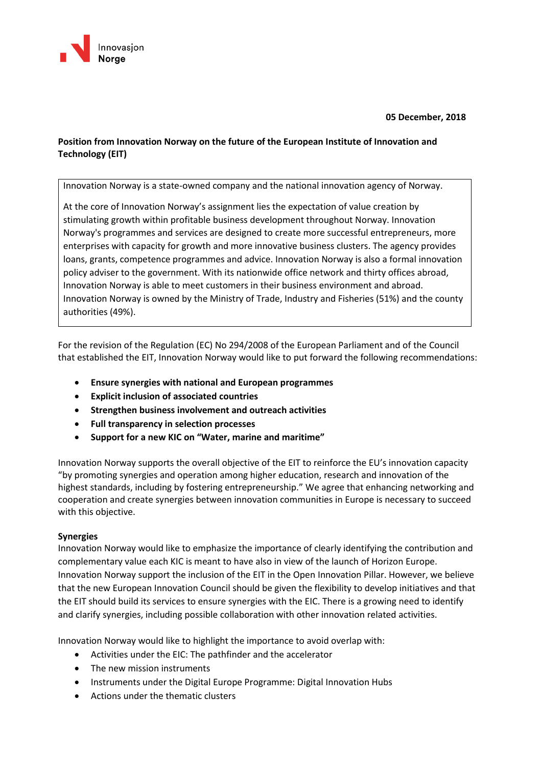

**05 December, 2018**

# **Position from Innovation Norway on the future of the European Institute of Innovation and Technology (EIT)**

Innovation Norway is a state-owned company and the national innovation agency of Norway.

At the core of Innovation Norway's assignment lies the expectation of value creation by stimulating growth within profitable business development throughout Norway. Innovation Norway's programmes and services are designed to create more successful entrepreneurs, more enterprises with capacity for growth and more innovative business clusters. The agency provides loans, grants, competence programmes and advice. Innovation Norway is also a formal innovation policy adviser to the government. With its nationwide office network and thirty offices abroad, Innovation Norway is able to meet customers in their business environment and abroad. Innovation Norway is owned by the Ministry of Trade, Industry and Fisheries (51%) and the county authorities (49%).

For the revision of the Regulation (EC) No 294/2008 of the European Parliament and of the Council that established the EIT, Innovation Norway would like to put forward the following recommendations:

- **Ensure synergies with national and European programmes**
- **Explicit inclusion of associated countries**
- **Strengthen business involvement and outreach activities**
- **Full transparency in selection processes**
- **Support for a new KIC on "Water, marine and maritime"**

Innovation Norway supports the overall objective of the EIT to reinforce the EU's innovation capacity "by promoting synergies and operation among higher education, research and innovation of the highest standards, including by fostering entrepreneurship." We agree that enhancing networking and cooperation and create synergies between innovation communities in Europe is necessary to succeed with this objective.

#### **Synergies**

Innovation Norway would like to emphasize the importance of clearly identifying the contribution and complementary value each KIC is meant to have also in view of the launch of Horizon Europe. Innovation Norway support the inclusion of the EIT in the Open Innovation Pillar. However, we believe that the new European Innovation Council should be given the flexibility to develop initiatives and that the EIT should build its services to ensure synergies with the EIC. There is a growing need to identify and clarify synergies, including possible collaboration with other innovation related activities.

Innovation Norway would like to highlight the importance to avoid overlap with:

- Activities under the EIC: The pathfinder and the accelerator
- The new mission instruments
- Instruments under the Digital Europe Programme: Digital Innovation Hubs
- Actions under the thematic clusters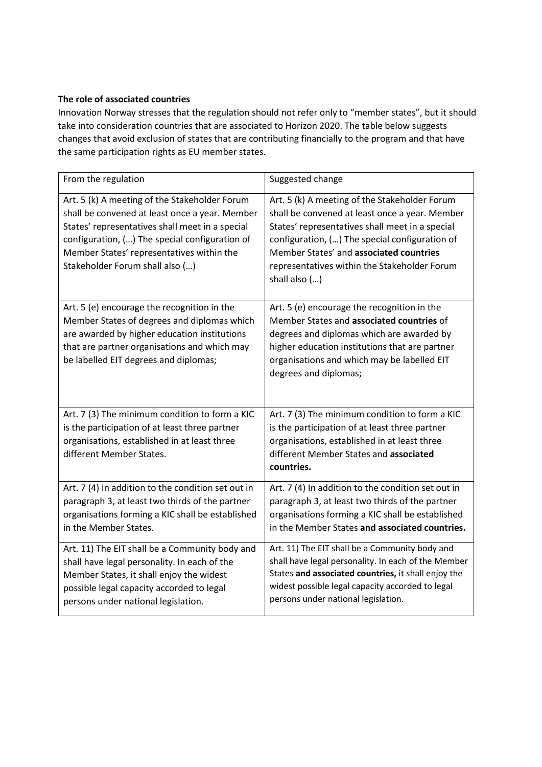# **The role of associated countries**

Innovation Norway stresses that the regulation should not refer only to "member states", but it should take into consideration countries that are associated to Horizon 2020. The table below suggests changes that avoid exclusion of states that are contributing financially to the program and that have the same participation rights as EU member states.

| From the regulation                                                                                                                                                                                                                                                                  | Suggested change                                                                                                                                                                                                                                                                                                 |
|--------------------------------------------------------------------------------------------------------------------------------------------------------------------------------------------------------------------------------------------------------------------------------------|------------------------------------------------------------------------------------------------------------------------------------------------------------------------------------------------------------------------------------------------------------------------------------------------------------------|
| Art. 5 (k) A meeting of the Stakeholder Forum<br>shall be convened at least once a year. Member<br>States' representatives shall meet in a special<br>configuration, () The special configuration of<br>Member States' representatives within the<br>Stakeholder Forum shall also () | Art. 5 (k) A meeting of the Stakeholder Forum<br>shall be convened at least once a year. Member<br>States' representatives shall meet in a special<br>configuration, () The special configuration of<br>Member States' and associated countries<br>representatives within the Stakeholder Forum<br>shall also () |
| Art. 5 (e) encourage the recognition in the<br>Member States of degrees and diplomas which<br>are awarded by higher education institutions<br>that are partner organisations and which may<br>be labelled EIT degrees and diplomas;                                                  | Art. 5 (e) encourage the recognition in the<br>Member States and associated countries of<br>degrees and diplomas which are awarded by<br>higher education institutions that are partner<br>organisations and which may be labelled EIT<br>degrees and diplomas;                                                  |
| Art. 7 (3) The minimum condition to form a KIC<br>is the participation of at least three partner<br>organisations, established in at least three<br>different Member States.                                                                                                         | Art. 7 (3) The minimum condition to form a KIC<br>is the participation of at least three partner<br>organisations, established in at least three<br>different Member States and associated<br>countries.                                                                                                         |
| Art. 7 (4) In addition to the condition set out in<br>paragraph 3, at least two thirds of the partner<br>organisations forming a KIC shall be established<br>in the Member States.                                                                                                   | Art. 7 (4) In addition to the condition set out in<br>paragraph 3, at least two thirds of the partner<br>organisations forming a KIC shall be established<br>in the Member States and associated countries.                                                                                                      |
| Art. 11) The EIT shall be a Community body and<br>shall have legal personality. In each of the<br>Member States, it shall enjoy the widest<br>possible legal capacity accorded to legal<br>persons under national legislation.                                                       | Art. 11) The EIT shall be a Community body and<br>shall have legal personality. In each of the Member<br>States and associated countries, it shall enjoy the<br>widest possible legal capacity accorded to legal<br>persons under national legislation.                                                          |